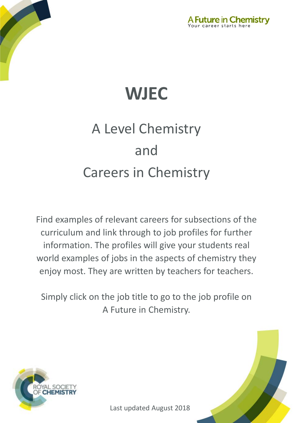



# A Level Chemistry and Careers in Chemistry

Find examples of relevant careers for subsections of the curriculum and link through to job profiles for further information. The profiles will give your students real world examples of jobs in the aspects of chemistry they enjoy most. They are written by teachers for teachers.

Simply click on the job title to go to the job profile on A Future in Chemistry.



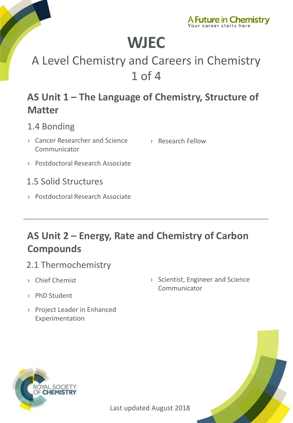

## A Level Chemistry and Careers in Chemistry 1 of 4

### **AS Unit 1 – The Language of Chemistry, Structure of Matter**

#### 1.4 Bonding

- › [Cancer Researcher and Science](http://www.rsc.org/careers/future/cancer-researcher-and-science-communicator)  Communicator
- › [Research Fellow](http://www.rsc.org/careers/future/research-fellow)
- › [Postdoctoral Research Associate](http://www.rsc.org/careers/future/postdoctoral-research-associate)
- 1.5 Solid Structures
- › [Postdoctoral Research Associate](http://www.rsc.org/careers/future/postdoctoral-research-associate)

### **AS Unit 2 – Energy, Rate and Chemistry of Carbon Compounds**

\_\_\_\_\_\_\_\_\_\_\_\_\_\_\_\_\_\_\_\_\_\_\_\_\_\_\_\_\_\_\_\_\_\_\_\_\_\_\_\_\_\_\_\_\_\_\_\_\_\_\_\_\_\_\_\_\_\_\_\_\_\_\_\_\_\_\_

#### 2.1 Thermochemistry

- › [Chief Chemist](http://www.rsc.org/careers/future/chief-chemist)
- › [PhD Student](http://www.rsc.org/careers/future/phd-student)
- › [Project Leader in Enhanced](http://www.rsc.org/careers/future/project-leader-enhanced-experimentation)  Experimentation
- › [Scientist, Engineer and Science](http://www.rsc.org/careers/future/scientist-engineer-and-science-communicator)  Communicator





Last updated August 2018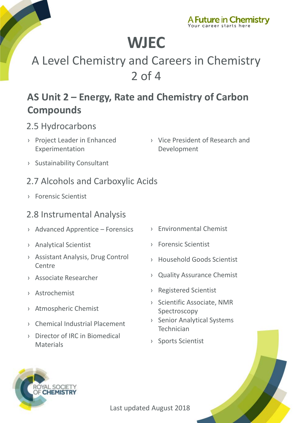

## A Level Chemistry and Careers in Chemistry 2 of 4

### **AS Unit 2 – Energy, Rate and Chemistry of Carbon Compounds**

#### 2.5 Hydrocarbons

- › [Project Leader in Enhanced](http://www.rsc.org/careers/future/project-leader-enhanced-experimentation)  Experimentation
- › [Vice President of Research and](http://www.rsc.org/careers/future/vice-president-research-and-development)  Development
- › [Sustainability Consultant](http://www.rsc.org/careers/future/sustainability-consultant)

#### 2.7 Alcohols and Carboxylic Acids

› [Forensic Scientist](http://www.rsc.org/careers/future/forensic-scientist)

#### 2.8 Instrumental Analysis

- › [Advanced Apprentice –](http://www.rsc.org/careers/future/advanced-apprentice-forensics) Forensics
- › [Analytical Scientist](http://www.rsc.org/careers/future/analytical-scientist)
- › [Assistant Analysis, Drug Control](http://www.rsc.org/careers/future/assistant-analyst-drug-control-centre)  Centre
- › [Associate Researcher](http://www.rsc.org/careers/future/associate-researcher)
- › [Astrochemist](http://www.rsc.org/careers/future/astrochemist)
- › [Atmospheric Chemist](http://www.rsc.org/careers/future/atmospheric-chemistry-researcher)
- › [Chemical Industrial Placement](http://www.rsc.org/careers/future/chemical-industrial-placement)
- › [Director of IRC in Biomedical](http://www.rsc.org/careers/future/director-irc-biomedical-materials)  **Materials**
- › [Environmental Chemist](http://www.rsc.org/careers/future/environmental-chemist)
- › [Forensic Scientist](http://www.rsc.org/careers/future/forensic-scientist)
- › [Household Goods Scientist](http://www.rsc.org/careers/future/household-goods-senior-scientist)
- › [Quality Assurance Chemist](http://www.rsc.org/careers/future/quality-assurance-chemist)
- › [Registered Scientist](http://www.rsc.org/careers/future/registered-scientist)
- › [Scientific Associate, NMR](http://www.rsc.org/careers/future/scientific-associate-nmr-spectroscopy) Spectroscopy
- › [Senior Analytical Systems](http://www.rsc.org/careers/future/senior-analytical-systems-technician)  Technician
- › [Sports Scientist](http://www.rsc.org/careers/future/senior-sports-scientist)



Last updated August 2018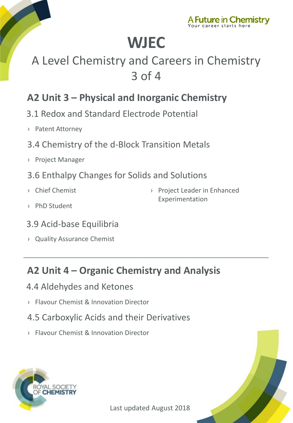

## A Level Chemistry and Careers in Chemistry 3 of 4

### **A2 Unit 3 – Physical and Inorganic Chemistry**

- 3.1 Redox and Standard Electrode Potential
- › [Patent Attorney](http://www.rsc.org/careers/future/patent-attorney)
- 3.4 Chemistry of the d-Block Transition Metals
- › [Project Manager](http://www.rsc.org/careers/future/project-manager)
- 3.6 Enthalpy Changes for Solids and Solutions
- › [Chief Chemist](http://www.rsc.org/careers/future/chief-chemist)

› [Project Leader in Enhanced](http://www.rsc.org/careers/future/project-leader-enhanced-experimentation)  Experimentation

- › [PhD Student](http://www.rsc.org/careers/future/phd-student)
- 3.9 Acid-base Equilibria
- › [Quality Assurance Chemist](http://www.rsc.org/careers/future/quality-assurance-chemist)

### **A2 Unit 4 – Organic Chemistry and Analysis**

\_\_\_\_\_\_\_\_\_\_\_\_\_\_\_\_\_\_\_\_\_\_\_\_\_\_\_\_\_\_\_\_\_\_\_\_\_\_\_\_\_\_\_\_\_\_\_\_\_\_\_\_\_\_\_\_\_\_\_\_\_\_\_\_\_\_\_

- 4.4 Aldehydes and Ketones
- › Flavour [Chemist & Innovation Director](http://www.rsc.org/careers/future/flavourist-innovation-director)
- 4.5 Carboxylic Acids and their Derivatives
- › Flavour [Chemist & Innovation Director](http://www.rsc.org/careers/future/flavourist-innovation-director)